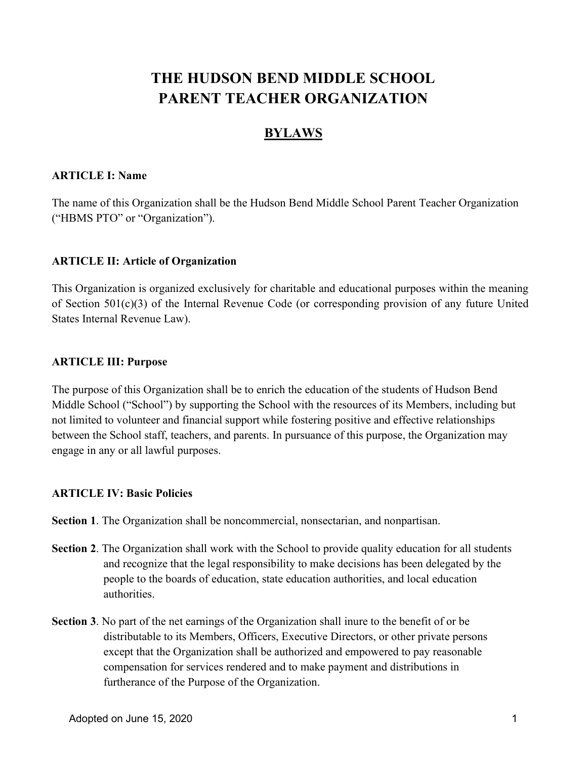# THE HUDSON BEND MIDDLE SCHOOL PARENT TEACHER ORGANIZATION

## BYLAWS

#### ARTICLE I: Name

The name of this Organization shall be the Hudson Bend Middle School Parent Teacher Organization ("HBMS PTO" or "Organization").

## ARTICLE II: Article of Organization

This Organization is organized exclusively for charitable and educational purposes within the meaning of Section 501(c)(3) of the Internal Revenue Code (or corresponding provision of any future United States Internal Revenue Law).

## ARTICLE III: Purpose

The purpose of this Organization shall be to enrich the education of the students of Hudson Bend Middle School ("School") by supporting the School with the resources of its Members, including but not limited to volunteer and financial support while fostering positive and effective relationships between the School staff, teachers, and parents. In pursuance of this purpose, the Organization may engage in any or all lawful purposes.

## ARTICLE IV: Basic Policies

Section 1. The Organization shall be noncommercial, nonsectarian, and nonpartisan.

- Section 2. The Organization shall work with the School to provide quality education for all students and recognize that the legal responsibility to make decisions has been delegated by the people to the boards of education, state education authorities, and local education authorities.
- Section 3. No part of the net earnings of the Organization shall inure to the benefit of or be distributable to its Members, Officers, Executive Directors, or other private persons except that the Organization shall be authorized and empowered to pay reasonable compensation for services rendered and to make payment and distributions in furtherance of the Purpose of the Organization.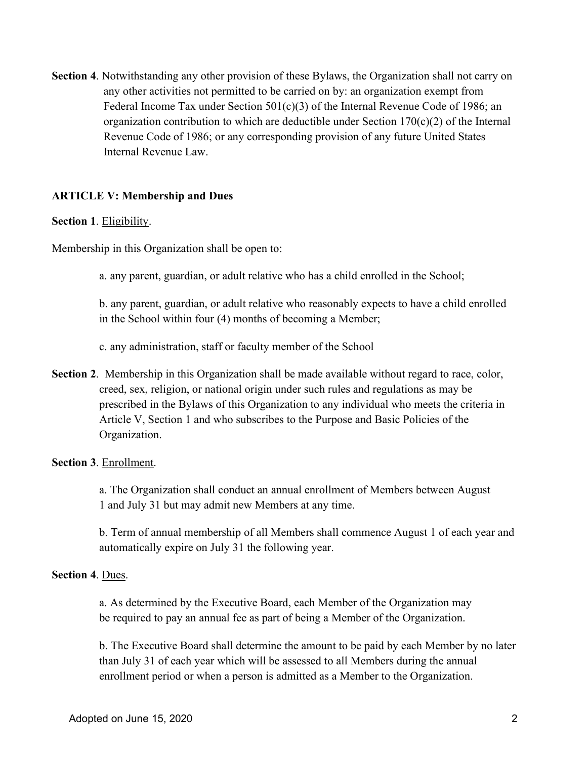Section 4. Notwithstanding any other provision of these Bylaws, the Organization shall not carry on any other activities not permitted to be carried on by: an organization exempt from Federal Income Tax under Section 501(c)(3) of the Internal Revenue Code of 1986; an organization contribution to which are deductible under Section  $170(c)(2)$  of the Internal Revenue Code of 1986; or any corresponding provision of any future United States Internal Revenue Law.

#### ARTICLE V: Membership and Dues

#### Section 1. Eligibility.

Membership in this Organization shall be open to:

a. any parent, guardian, or adult relative who has a child enrolled in the School;

b. any parent, guardian, or adult relative who reasonably expects to have a child enrolled in the School within four (4) months of becoming a Member;

c. any administration, staff or faculty member of the School

Section 2. Membership in this Organization shall be made available without regard to race, color, creed, sex, religion, or national origin under such rules and regulations as may be prescribed in the Bylaws of this Organization to any individual who meets the criteria in Article V, Section 1 and who subscribes to the Purpose and Basic Policies of the Organization.

#### Section 3. Enrollment.

a. The Organization shall conduct an annual enrollment of Members between August 1 and July 31 but may admit new Members at any time.

b. Term of annual membership of all Members shall commence August 1 of each year and automatically expire on July 31 the following year.

#### Section 4. Dues.

a. As determined by the Executive Board, each Member of the Organization may be required to pay an annual fee as part of being a Member of the Organization.

b. The Executive Board shall determine the amount to be paid by each Member by no later than July 31 of each year which will be assessed to all Members during the annual enrollment period or when a person is admitted as a Member to the Organization.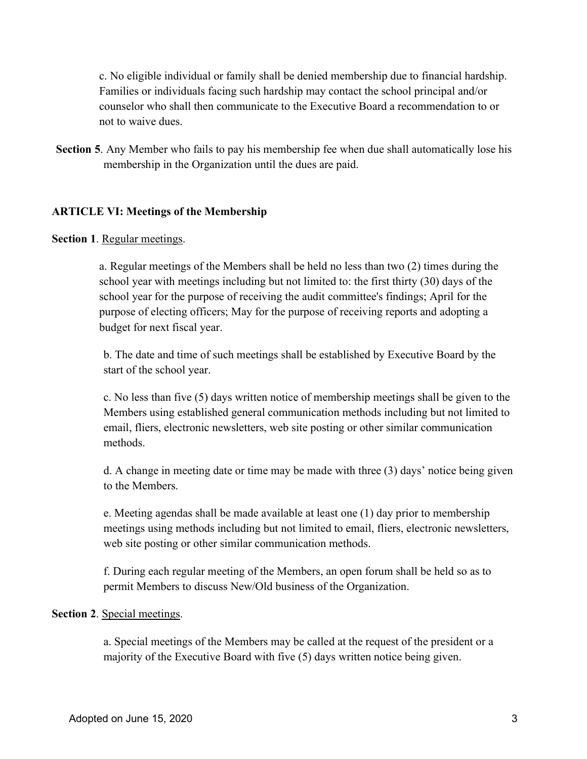c. No eligible individual or family shall be denied membership due to financial hardship. Families or individuals facing such hardship may contact the school principal and/or counselor who shall then communicate to the Executive Board a recommendation to or not to waive dues.

Section 5. Any Member who fails to pay his membership fee when due shall automatically lose his membership in the Organization until the dues are paid.

#### ARTICLE VI: Meetings of the Membership

#### Section 1. Regular meetings.

a. Regular meetings of the Members shall be held no less than two (2) times during the school year with meetings including but not limited to: the first thirty (30) days of the school year for the purpose of receiving the audit committee's findings; April for the purpose of electing officers; May for the purpose of receiving reports and adopting a budget for next fiscal year.

b. The date and time of such meetings shall be established by Executive Board by the start of the school year.

c. No less than five (5) days written notice of membership meetings shall be given to the Members using established general communication methods including but not limited to email, fliers, electronic newsletters, web site posting or other similar communication methods.

d. A change in meeting date or time may be made with three (3) days' notice being given to the Members.

e. Meeting agendas shall be made available at least one (1) day prior to membership meetings using methods including but not limited to email, fliers, electronic newsletters, web site posting or other similar communication methods.

f. During each regular meeting of the Members, an open forum shall be held so as to permit Members to discuss New/Old business of the Organization.

#### Section 2. Special meetings.

a. Special meetings of the Members may be called at the request of the president or a majority of the Executive Board with five (5) days written notice being given.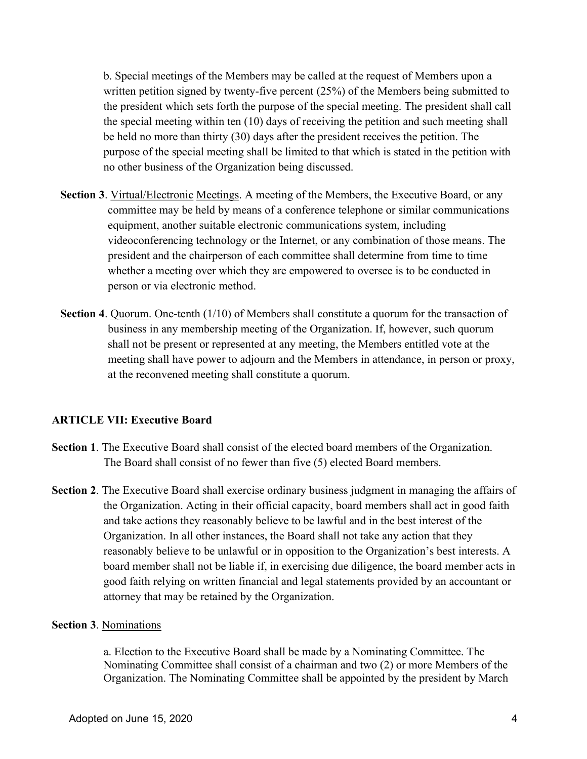b. Special meetings of the Members may be called at the request of Members upon a written petition signed by twenty-five percent (25%) of the Members being submitted to the president which sets forth the purpose of the special meeting. The president shall call the special meeting within ten (10) days of receiving the petition and such meeting shall be held no more than thirty (30) days after the president receives the petition. The purpose of the special meeting shall be limited to that which is stated in the petition with no other business of the Organization being discussed.

- Section 3. Virtual/Electronic Meetings. A meeting of the Members, the Executive Board, or any committee may be held by means of a conference telephone or similar communications equipment, another suitable electronic communications system, including videoconferencing technology or the Internet, or any combination of those means. The president and the chairperson of each committee shall determine from time to time whether a meeting over which they are empowered to oversee is to be conducted in person or via electronic method.
- Section 4. Quorum. One-tenth (1/10) of Members shall constitute a quorum for the transaction of business in any membership meeting of the Organization. If, however, such quorum shall not be present or represented at any meeting, the Members entitled vote at the meeting shall have power to adjourn and the Members in attendance, in person or proxy, at the reconvened meeting shall constitute a quorum.

#### ARTICLE VII: Executive Board

- Section 1. The Executive Board shall consist of the elected board members of the Organization. The Board shall consist of no fewer than five (5) elected Board members.
- Section 2. The Executive Board shall exercise ordinary business judgment in managing the affairs of the Organization. Acting in their official capacity, board members shall act in good faith and take actions they reasonably believe to be lawful and in the best interest of the Organization. In all other instances, the Board shall not take any action that they reasonably believe to be unlawful or in opposition to the Organization's best interests. A board member shall not be liable if, in exercising due diligence, the board member acts in good faith relying on written financial and legal statements provided by an accountant or attorney that may be retained by the Organization.

#### Section 3. Nominations

a. Election to the Executive Board shall be made by a Nominating Committee. The Nominating Committee shall consist of a chairman and two (2) or more Members of the Organization. The Nominating Committee shall be appointed by the president by March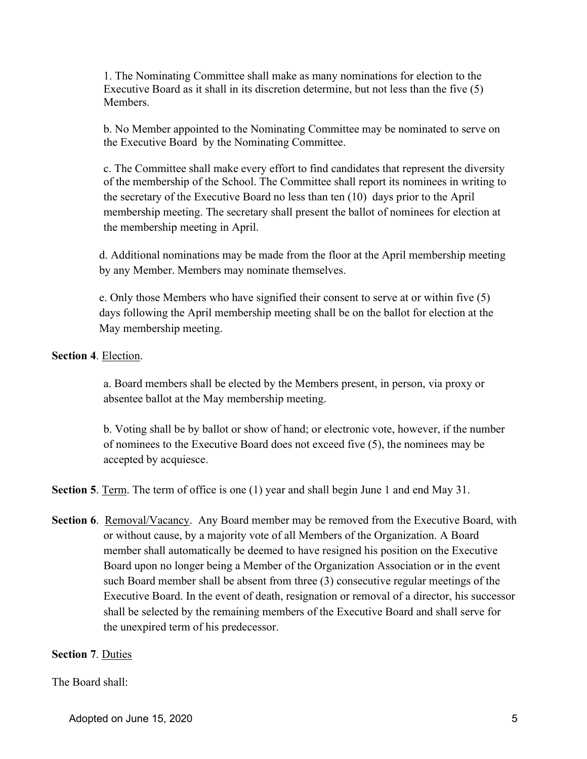1. The Nominating Committee shall make as many nominations for election to the Executive Board as it shall in its discretion determine, but not less than the five (5) Members.

b. No Member appointed to the Nominating Committee may be nominated to serve on the Executive Board by the Nominating Committee.

c. The Committee shall make every effort to find candidates that represent the diversity of the membership of the School. The Committee shall report its nominees in writing to the secretary of the Executive Board no less than ten (10) days prior to the April membership meeting. The secretary shall present the ballot of nominees for election at the membership meeting in April.

d. Additional nominations may be made from the floor at the April membership meeting by any Member. Members may nominate themselves.

e. Only those Members who have signified their consent to serve at or within five (5) days following the April membership meeting shall be on the ballot for election at the May membership meeting.

## Section 4. Election.

a. Board members shall be elected by the Members present, in person, via proxy or absentee ballot at the May membership meeting.

b. Voting shall be by ballot or show of hand; or electronic vote, however, if the number of nominees to the Executive Board does not exceed five (5), the nominees may be accepted by acquiesce.

Section 5. Term. The term of office is one (1) year and shall begin June 1 and end May 31.

Section 6. Removal/Vacancy. Any Board member may be removed from the Executive Board, with or without cause, by a majority vote of all Members of the Organization. A Board member shall automatically be deemed to have resigned his position on the Executive Board upon no longer being a Member of the Organization Association or in the event such Board member shall be absent from three (3) consecutive regular meetings of the Executive Board. In the event of death, resignation or removal of a director, his successor shall be selected by the remaining members of the Executive Board and shall serve for the unexpired term of his predecessor.

## Section 7. Duties

## The Board shall: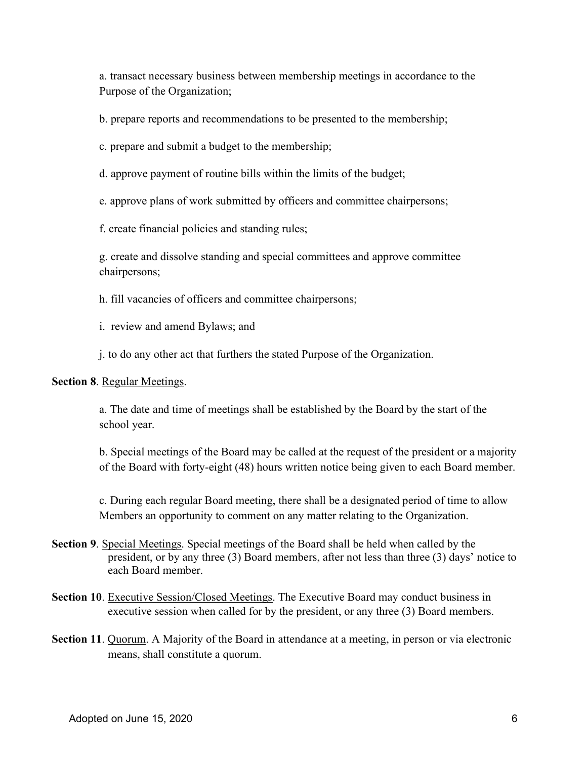a. transact necessary business between membership meetings in accordance to the Purpose of the Organization;

b. prepare reports and recommendations to be presented to the membership;

c. prepare and submit a budget to the membership;

d. approve payment of routine bills within the limits of the budget;

e. approve plans of work submitted by officers and committee chairpersons;

f. create financial policies and standing rules;

g. create and dissolve standing and special committees and approve committee chairpersons;

h. fill vacancies of officers and committee chairpersons;

i. review and amend Bylaws; and

j. to do any other act that furthers the stated Purpose of the Organization.

Section 8. Regular Meetings.

a. The date and time of meetings shall be established by the Board by the start of the school year.

b. Special meetings of the Board may be called at the request of the president or a majority of the Board with forty-eight (48) hours written notice being given to each Board member.

c. During each regular Board meeting, there shall be a designated period of time to allow Members an opportunity to comment on any matter relating to the Organization.

- Section 9. Special Meetings. Special meetings of the Board shall be held when called by the president, or by any three (3) Board members, after not less than three (3) days' notice to each Board member.
- Section 10. Executive Session/Closed Meetings. The Executive Board may conduct business in executive session when called for by the president, or any three (3) Board members.
- Section 11. Quorum. A Majority of the Board in attendance at a meeting, in person or via electronic means, shall constitute a quorum.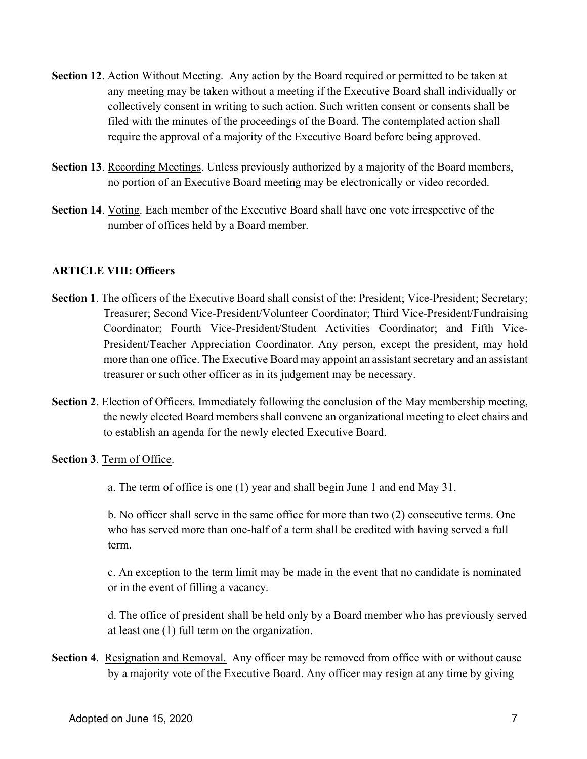- Section 12. Action Without Meeting. Any action by the Board required or permitted to be taken at any meeting may be taken without a meeting if the Executive Board shall individually or collectively consent in writing to such action. Such written consent or consents shall be filed with the minutes of the proceedings of the Board. The contemplated action shall require the approval of a majority of the Executive Board before being approved.
- Section 13. Recording Meetings. Unless previously authorized by a majority of the Board members, no portion of an Executive Board meeting may be electronically or video recorded.
- Section 14. Voting. Each member of the Executive Board shall have one vote irrespective of the number of offices held by a Board member.

## ARTICLE VIII: Officers

- Section 1. The officers of the Executive Board shall consist of the: President; Vice-President; Secretary; Treasurer; Second Vice-President/Volunteer Coordinator; Third Vice-President/Fundraising Coordinator; Fourth Vice-President/Student Activities Coordinator; and Fifth Vice-President/Teacher Appreciation Coordinator. Any person, except the president, may hold more than one office. The Executive Board may appoint an assistant secretary and an assistant treasurer or such other officer as in its judgement may be necessary.
- Section 2. Election of Officers. Immediately following the conclusion of the May membership meeting, the newly elected Board members shall convene an organizational meeting to elect chairs and to establish an agenda for the newly elected Executive Board.

#### Section 3. Term of Office.

a. The term of office is one (1) year and shall begin June 1 and end May 31.

b. No officer shall serve in the same office for more than two (2) consecutive terms. One who has served more than one-half of a term shall be credited with having served a full term.

c. An exception to the term limit may be made in the event that no candidate is nominated or in the event of filling a vacancy.

d. The office of president shall be held only by a Board member who has previously served at least one (1) full term on the organization.

Section 4. Resignation and Removal. Any officer may be removed from office with or without cause by a majority vote of the Executive Board. Any officer may resign at any time by giving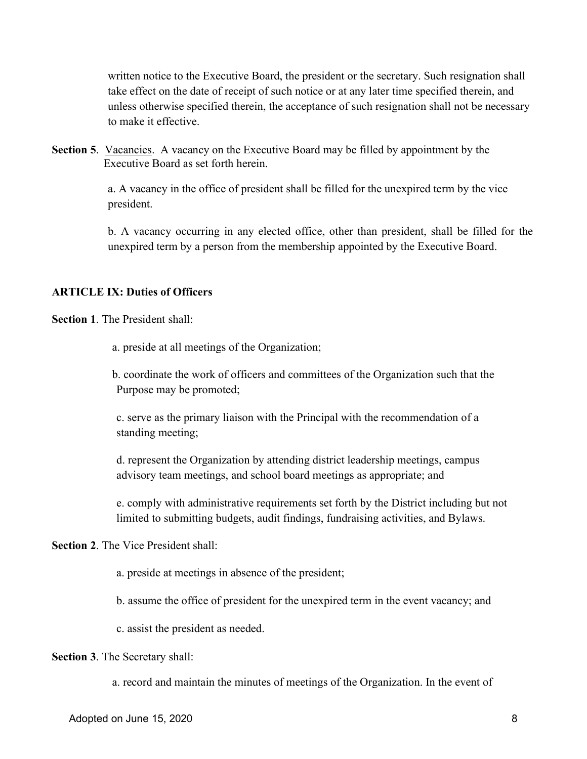written notice to the Executive Board, the president or the secretary. Such resignation shall take effect on the date of receipt of such notice or at any later time specified therein, and unless otherwise specified therein, the acceptance of such resignation shall not be necessary to make it effective.

Section 5. Vacancies. A vacancy on the Executive Board may be filled by appointment by the Executive Board as set forth herein.

> a. A vacancy in the office of president shall be filled for the unexpired term by the vice president.

b. A vacancy occurring in any elected office, other than president, shall be filled for the unexpired term by a person from the membership appointed by the Executive Board.

#### ARTICLE IX: Duties of Officers

Section 1. The President shall:

a. preside at all meetings of the Organization;

b. coordinate the work of officers and committees of the Organization such that the Purpose may be promoted;

c. serve as the primary liaison with the Principal with the recommendation of a standing meeting;

d. represent the Organization by attending district leadership meetings, campus advisory team meetings, and school board meetings as appropriate; and

e. comply with administrative requirements set forth by the District including but not limited to submitting budgets, audit findings, fundraising activities, and Bylaws.

Section 2. The Vice President shall:

a. preside at meetings in absence of the president;

b. assume the office of president for the unexpired term in the event vacancy; and

c. assist the president as needed.

Section 3. The Secretary shall:

a. record and maintain the minutes of meetings of the Organization. In the event of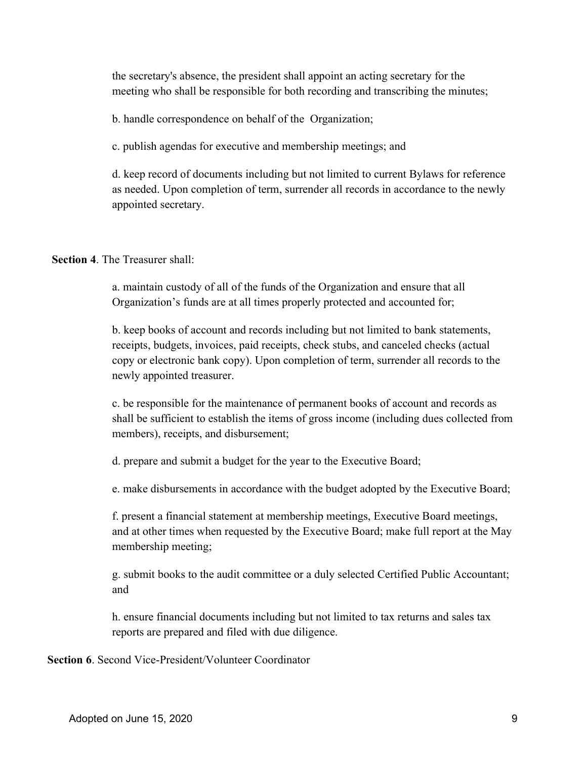the secretary's absence, the president shall appoint an acting secretary for the meeting who shall be responsible for both recording and transcribing the minutes;

b. handle correspondence on behalf of the Organization;

c. publish agendas for executive and membership meetings; and

d. keep record of documents including but not limited to current Bylaws for reference as needed. Upon completion of term, surrender all records in accordance to the newly appointed secretary.

#### Section 4. The Treasurer shall:

a. maintain custody of all of the funds of the Organization and ensure that all Organization's funds are at all times properly protected and accounted for;

b. keep books of account and records including but not limited to bank statements, receipts, budgets, invoices, paid receipts, check stubs, and canceled checks (actual copy or electronic bank copy). Upon completion of term, surrender all records to the newly appointed treasurer.

c. be responsible for the maintenance of permanent books of account and records as shall be sufficient to establish the items of gross income (including dues collected from members), receipts, and disbursement;

d. prepare and submit a budget for the year to the Executive Board;

e. make disbursements in accordance with the budget adopted by the Executive Board;

f. present a financial statement at membership meetings, Executive Board meetings, and at other times when requested by the Executive Board; make full report at the May membership meeting;

g. submit books to the audit committee or a duly selected Certified Public Accountant; and

h. ensure financial documents including but not limited to tax returns and sales tax reports are prepared and filed with due diligence.

Section 6. Second Vice-President/Volunteer Coordinator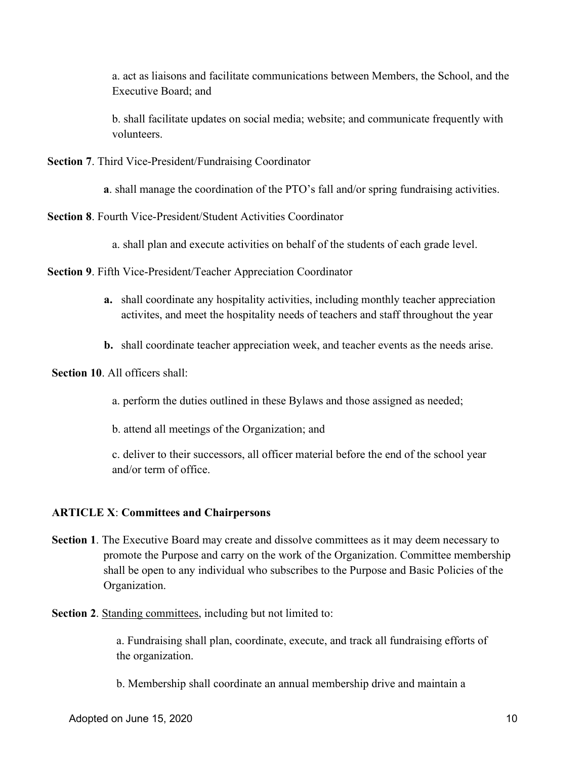a. act as liaisons and facilitate communications between Members, the School, and the Executive Board; and

b. shall facilitate updates on social media; website; and communicate frequently with volunteers.

Section 7. Third Vice-President/Fundraising Coordinator

a. shall manage the coordination of the PTO's fall and/or spring fundraising activities.

Section 8. Fourth Vice-President/Student Activities Coordinator

a. shall plan and execute activities on behalf of the students of each grade level.

Section 9. Fifth Vice-President/Teacher Appreciation Coordinator

- a. shall coordinate any hospitality activities, including monthly teacher appreciation activites, and meet the hospitality needs of teachers and staff throughout the year
- b. shall coordinate teacher appreciation week, and teacher events as the needs arise.

#### Section 10. All officers shall:

a. perform the duties outlined in these Bylaws and those assigned as needed;

b. attend all meetings of the Organization; and

c. deliver to their successors, all officer material before the end of the school year and/or term of office.

#### ARTICLE X: Committees and Chairpersons

Section 1. The Executive Board may create and dissolve committees as it may deem necessary to promote the Purpose and carry on the work of the Organization. Committee membership shall be open to any individual who subscribes to the Purpose and Basic Policies of the Organization.

#### Section 2. Standing committees, including but not limited to:

a. Fundraising shall plan, coordinate, execute, and track all fundraising efforts of the organization.

b. Membership shall coordinate an annual membership drive and maintain a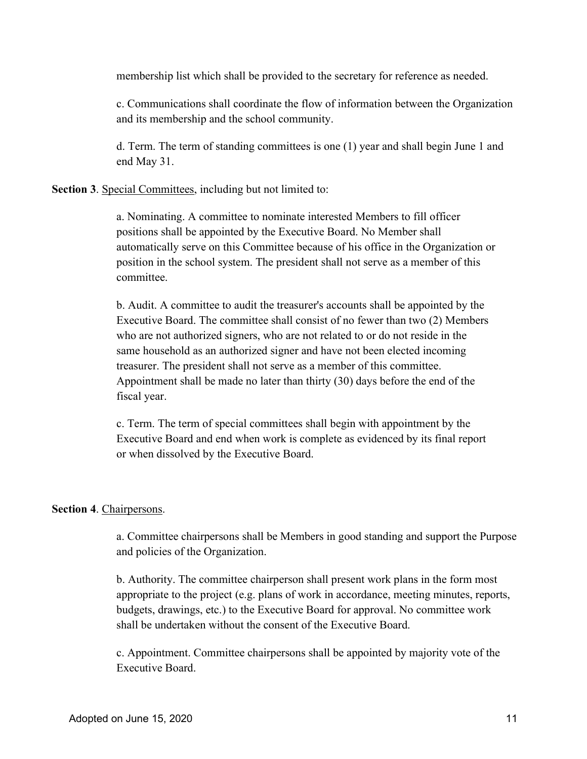membership list which shall be provided to the secretary for reference as needed.

c. Communications shall coordinate the flow of information between the Organization and its membership and the school community.

d. Term. The term of standing committees is one (1) year and shall begin June 1 and end May 31.

Section 3. Special Committees, including but not limited to:

a. Nominating. A committee to nominate interested Members to fill officer positions shall be appointed by the Executive Board. No Member shall automatically serve on this Committee because of his office in the Organization or position in the school system. The president shall not serve as a member of this committee.

b. Audit. A committee to audit the treasurer's accounts shall be appointed by the Executive Board. The committee shall consist of no fewer than two (2) Members who are not authorized signers, who are not related to or do not reside in the same household as an authorized signer and have not been elected incoming treasurer. The president shall not serve as a member of this committee. Appointment shall be made no later than thirty (30) days before the end of the fiscal year.

c. Term. The term of special committees shall begin with appointment by the Executive Board and end when work is complete as evidenced by its final report or when dissolved by the Executive Board.

#### Section 4. Chairpersons.

a. Committee chairpersons shall be Members in good standing and support the Purpose and policies of the Organization.

b. Authority. The committee chairperson shall present work plans in the form most appropriate to the project (e.g. plans of work in accordance, meeting minutes, reports, budgets, drawings, etc.) to the Executive Board for approval. No committee work shall be undertaken without the consent of the Executive Board.

c. Appointment. Committee chairpersons shall be appointed by majority vote of the Executive Board.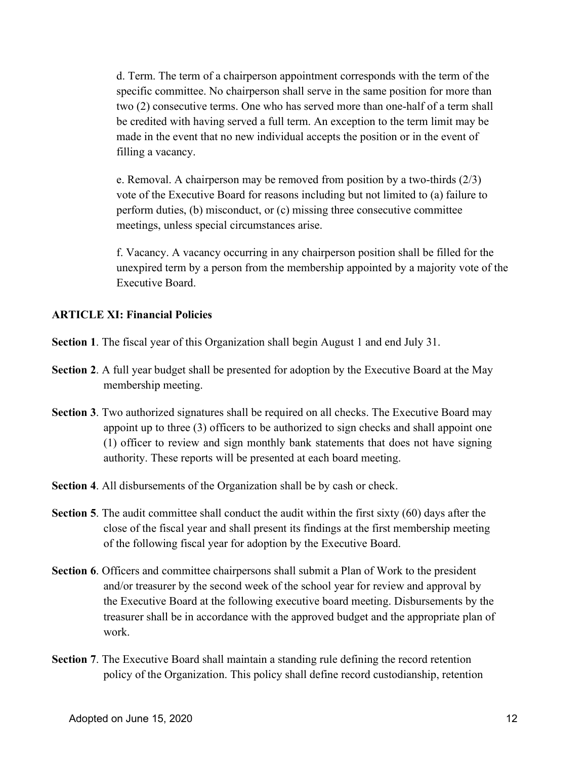d. Term. The term of a chairperson appointment corresponds with the term of the specific committee. No chairperson shall serve in the same position for more than two (2) consecutive terms. One who has served more than one-half of a term shall be credited with having served a full term. An exception to the term limit may be made in the event that no new individual accepts the position or in the event of filling a vacancy.

e. Removal. A chairperson may be removed from position by a two-thirds (2/3) vote of the Executive Board for reasons including but not limited to (a) failure to perform duties, (b) misconduct, or (c) missing three consecutive committee meetings, unless special circumstances arise.

f. Vacancy. A vacancy occurring in any chairperson position shall be filled for the unexpired term by a person from the membership appointed by a majority vote of the Executive Board.

#### ARTICLE XI: Financial Policies

Section 1. The fiscal year of this Organization shall begin August 1 and end July 31.

- Section 2. A full year budget shall be presented for adoption by the Executive Board at the May membership meeting.
- Section 3. Two authorized signatures shall be required on all checks. The Executive Board may appoint up to three (3) officers to be authorized to sign checks and shall appoint one (1) officer to review and sign monthly bank statements that does not have signing authority. These reports will be presented at each board meeting.
- Section 4. All disbursements of the Organization shall be by cash or check.
- Section 5. The audit committee shall conduct the audit within the first sixty (60) days after the close of the fiscal year and shall present its findings at the first membership meeting of the following fiscal year for adoption by the Executive Board.
- Section 6. Officers and committee chairpersons shall submit a Plan of Work to the president and/or treasurer by the second week of the school year for review and approval by the Executive Board at the following executive board meeting. Disbursements by the treasurer shall be in accordance with the approved budget and the appropriate plan of work.
- Section 7. The Executive Board shall maintain a standing rule defining the record retention policy of the Organization. This policy shall define record custodianship, retention